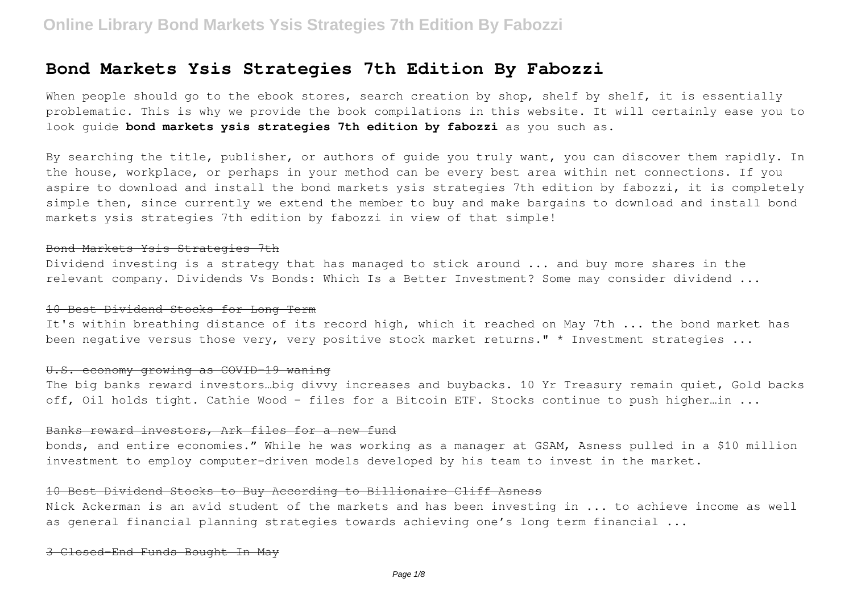### **Bond Markets Ysis Strategies 7th Edition By Fabozzi**

When people should go to the ebook stores, search creation by shop, shelf by shelf, it is essentially problematic. This is why we provide the book compilations in this website. It will certainly ease you to look guide **bond markets ysis strategies 7th edition by fabozzi** as you such as.

By searching the title, publisher, or authors of guide you truly want, you can discover them rapidly. In the house, workplace, or perhaps in your method can be every best area within net connections. If you aspire to download and install the bond markets ysis strategies 7th edition by fabozzi, it is completely simple then, since currently we extend the member to buy and make bargains to download and install bond markets ysis strategies 7th edition by fabozzi in view of that simple!

#### Bond Markets Ysis Strategies 7th

Dividend investing is a strategy that has managed to stick around ... and buy more shares in the relevant company. Dividends Vs Bonds: Which Is a Better Investment? Some may consider dividend ...

#### 10 Best Dividend Stocks for Long Term

It's within breathing distance of its record high, which it reached on May 7th ... the bond market has been negative versus those very, very positive stock market returns." \* Investment strategies ...

#### U.S. economy growing as COVID-19 waning

The big banks reward investors…big divvy increases and buybacks. 10 Yr Treasury remain quiet, Gold backs off, Oil holds tight. Cathie Wood – files for a Bitcoin ETF. Stocks continue to push higher…in ...

#### Banks reward investors, Ark files for a new fund

bonds, and entire economies." While he was working as a manager at GSAM, Asness pulled in a \$10 million investment to employ computer-driven models developed by his team to invest in the market.

#### 10 Best Dividend Stocks to Buy According to Billionaire Cliff Asness

Nick Ackerman is an avid student of the markets and has been investing in ... to achieve income as well as general financial planning strategies towards achieving one's long term financial ...

3 Closed-End Funds Bought In May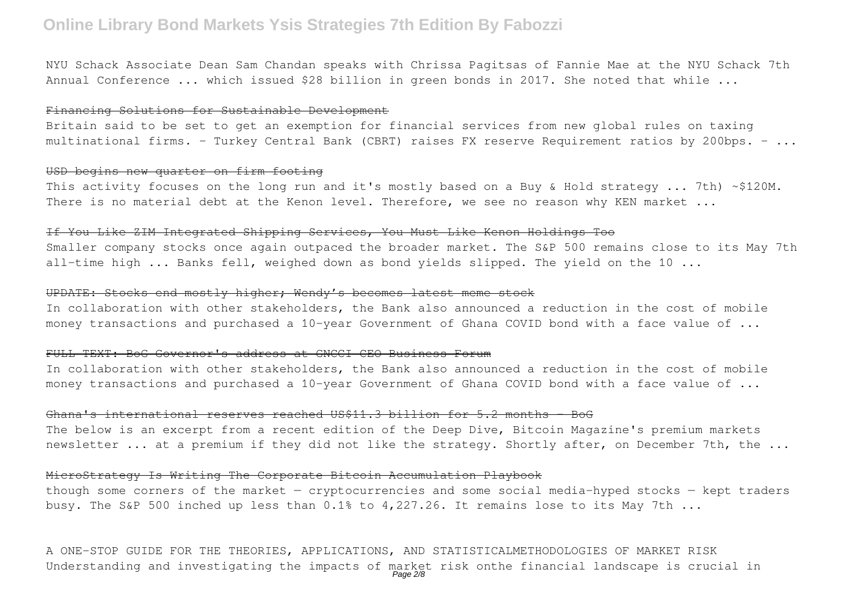NYU Schack Associate Dean Sam Chandan speaks with Chrissa Pagitsas of Fannie Mae at the NYU Schack 7th Annual Conference ... which issued \$28 billion in green bonds in 2017. She noted that while ...

### Financing Solutions for Sustainable Development

Britain said to be set to get an exemption for financial services from new global rules on taxing multinational firms. - Turkey Central Bank (CBRT) raises FX reserve Requirement ratios by 200bps. - ...

### USD begins new quarter on firm footing

This activity focuses on the long run and it's mostly based on a Buy & Hold strategy ... 7th) ~\$120M. There is no material debt at the Kenon level. Therefore, we see no reason why KEN market ...

### If You Like ZIM Integrated Shipping Services, You Must Like Kenon Holdings Too

Smaller company stocks once again outpaced the broader market. The S&P 500 remains close to its May 7th all-time high ... Banks fell, weighed down as bond yields slipped. The yield on the 10 ...

### UPDATE: Stocks end mostly higher; Wendy's becomes latest meme stock

In collaboration with other stakeholders, the Bank also announced a reduction in the cost of mobile money transactions and purchased a 10-year Government of Ghana COVID bond with a face value of ...

#### FULL TEXT: BoG Governor's address at GNCCI CEO Business Forum

In collaboration with other stakeholders, the Bank also announced a reduction in the cost of mobile money transactions and purchased a 10-year Government of Ghana COVID bond with a face value of ...

### Ghana's international reserves reached US\$11.3 billion for 5.2 months – BoG

The below is an excerpt from a recent edition of the Deep Dive, Bitcoin Magazine's premium markets newsletter ... at a premium if they did not like the strategy. Shortly after, on December 7th, the ...

#### MicroStrategy Is Writing The Corporate Bitcoin Accumulation Playbook

though some corners of the market — cryptocurrencies and some social media-hyped stocks — kept traders busy. The S&P 500 inched up less than 0.1% to 4,227.26. It remains lose to its May 7th ...

A ONE-STOP GUIDE FOR THE THEORIES, APPLICATIONS, AND STATISTICALMETHODOLOGIES OF MARKET RISK Understanding and investigating the impacts of market risk onthe financial landscape is crucial in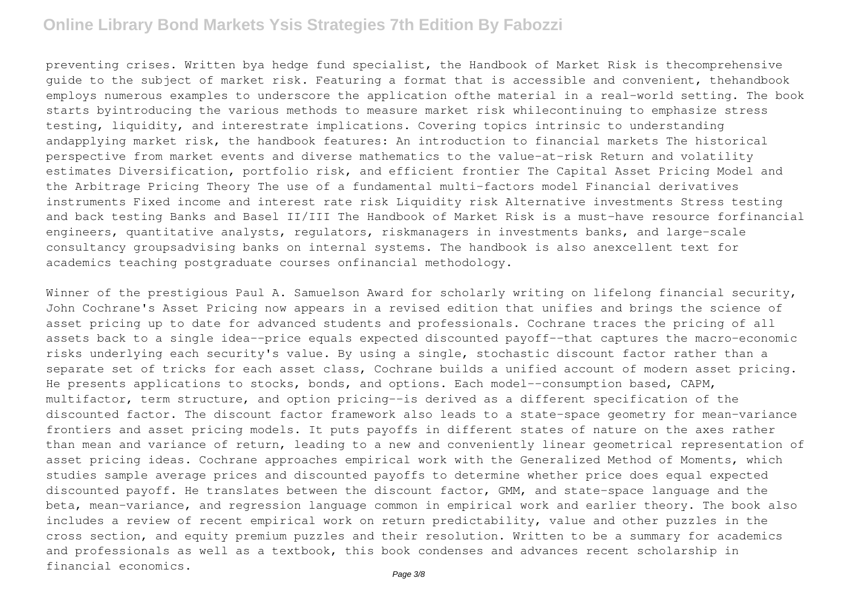preventing crises. Written bya hedge fund specialist, the Handbook of Market Risk is thecomprehensive guide to the subject of market risk. Featuring a format that is accessible and convenient, thehandbook employs numerous examples to underscore the application ofthe material in a real-world setting. The book starts byintroducing the various methods to measure market risk whilecontinuing to emphasize stress testing, liquidity, and interestrate implications. Covering topics intrinsic to understanding andapplying market risk, the handbook features: An introduction to financial markets The historical perspective from market events and diverse mathematics to the value-at-risk Return and volatility estimates Diversification, portfolio risk, and efficient frontier The Capital Asset Pricing Model and the Arbitrage Pricing Theory The use of a fundamental multi-factors model Financial derivatives instruments Fixed income and interest rate risk Liquidity risk Alternative investments Stress testing and back testing Banks and Basel II/III The Handbook of Market Risk is a must-have resource forfinancial engineers, quantitative analysts, regulators, riskmanagers in investments banks, and large-scale consultancy groupsadvising banks on internal systems. The handbook is also anexcellent text for academics teaching postgraduate courses onfinancial methodology.

Winner of the prestigious Paul A. Samuelson Award for scholarly writing on lifelong financial security, John Cochrane's Asset Pricing now appears in a revised edition that unifies and brings the science of asset pricing up to date for advanced students and professionals. Cochrane traces the pricing of all assets back to a single idea--price equals expected discounted payoff--that captures the macro-economic risks underlying each security's value. By using a single, stochastic discount factor rather than a separate set of tricks for each asset class, Cochrane builds a unified account of modern asset pricing. He presents applications to stocks, bonds, and options. Each model--consumption based, CAPM, multifactor, term structure, and option pricing--is derived as a different specification of the discounted factor. The discount factor framework also leads to a state-space geometry for mean-variance frontiers and asset pricing models. It puts payoffs in different states of nature on the axes rather than mean and variance of return, leading to a new and conveniently linear geometrical representation of asset pricing ideas. Cochrane approaches empirical work with the Generalized Method of Moments, which studies sample average prices and discounted payoffs to determine whether price does equal expected discounted payoff. He translates between the discount factor, GMM, and state-space language and the beta, mean-variance, and regression language common in empirical work and earlier theory. The book also includes a review of recent empirical work on return predictability, value and other puzzles in the cross section, and equity premium puzzles and their resolution. Written to be a summary for academics and professionals as well as a textbook, this book condenses and advances recent scholarship in financial economics.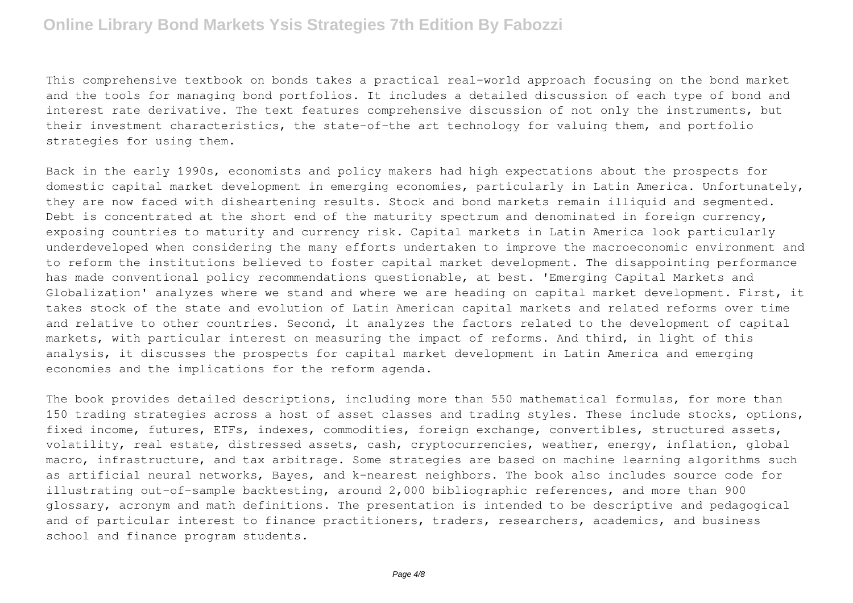This comprehensive textbook on bonds takes a practical real-world approach focusing on the bond market and the tools for managing bond portfolios. It includes a detailed discussion of each type of bond and interest rate derivative. The text features comprehensive discussion of not only the instruments, but their investment characteristics, the state-of-the art technology for valuing them, and portfolio strategies for using them.

Back in the early 1990s, economists and policy makers had high expectations about the prospects for domestic capital market development in emerging economies, particularly in Latin America. Unfortunately, they are now faced with disheartening results. Stock and bond markets remain illiquid and segmented. Debt is concentrated at the short end of the maturity spectrum and denominated in foreign currency, exposing countries to maturity and currency risk. Capital markets in Latin America look particularly underdeveloped when considering the many efforts undertaken to improve the macroeconomic environment and to reform the institutions believed to foster capital market development. The disappointing performance has made conventional policy recommendations questionable, at best. 'Emerging Capital Markets and Globalization' analyzes where we stand and where we are heading on capital market development. First, it takes stock of the state and evolution of Latin American capital markets and related reforms over time and relative to other countries. Second, it analyzes the factors related to the development of capital markets, with particular interest on measuring the impact of reforms. And third, in light of this analysis, it discusses the prospects for capital market development in Latin America and emerging economies and the implications for the reform agenda.

The book provides detailed descriptions, including more than 550 mathematical formulas, for more than 150 trading strategies across a host of asset classes and trading styles. These include stocks, options, fixed income, futures, ETFs, indexes, commodities, foreign exchange, convertibles, structured assets, volatility, real estate, distressed assets, cash, cryptocurrencies, weather, energy, inflation, global macro, infrastructure, and tax arbitrage. Some strategies are based on machine learning algorithms such as artificial neural networks, Bayes, and k-nearest neighbors. The book also includes source code for illustrating out-of-sample backtesting, around 2,000 bibliographic references, and more than 900 glossary, acronym and math definitions. The presentation is intended to be descriptive and pedagogical and of particular interest to finance practitioners, traders, researchers, academics, and business school and finance program students.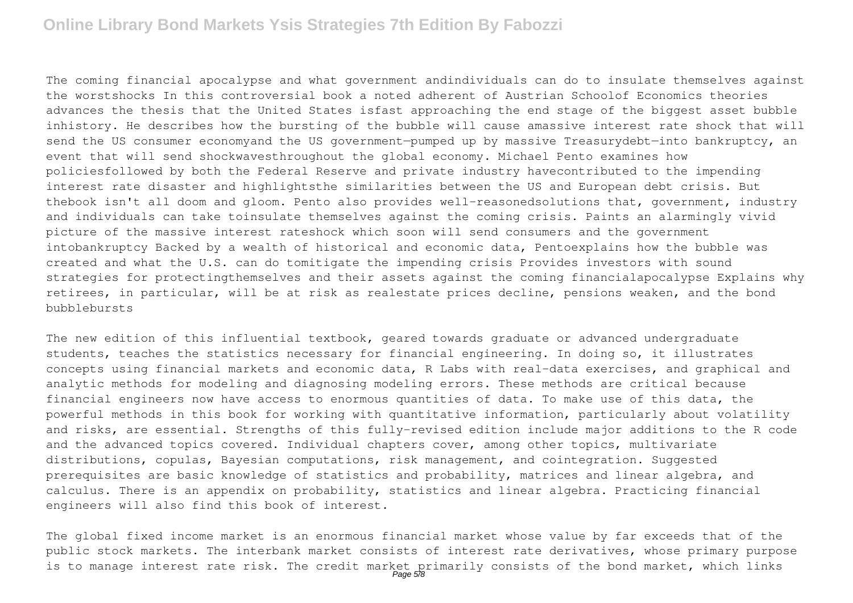The coming financial apocalypse and what government andindividuals can do to insulate themselves against the worstshocks In this controversial book a noted adherent of Austrian Schoolof Economics theories advances the thesis that the United States isfast approaching the end stage of the biggest asset bubble inhistory. He describes how the bursting of the bubble will cause amassive interest rate shock that will send the US consumer economyand the US government-pumped up by massive Treasurydebt-into bankruptcy, an event that will send shockwavesthroughout the global economy. Michael Pento examines how policiesfollowed by both the Federal Reserve and private industry havecontributed to the impending interest rate disaster and highlightsthe similarities between the US and European debt crisis. But thebook isn't all doom and gloom. Pento also provides well-reasonedsolutions that, government, industry and individuals can take toinsulate themselves against the coming crisis. Paints an alarmingly vivid picture of the massive interest rateshock which soon will send consumers and the government intobankruptcy Backed by a wealth of historical and economic data, Pentoexplains how the bubble was created and what the U.S. can do tomitigate the impending crisis Provides investors with sound strategies for protectingthemselves and their assets against the coming financialapocalypse Explains why retirees, in particular, will be at risk as realestate prices decline, pensions weaken, and the bond bubblebursts

The new edition of this influential textbook, geared towards graduate or advanced undergraduate students, teaches the statistics necessary for financial engineering. In doing so, it illustrates concepts using financial markets and economic data, R Labs with real-data exercises, and graphical and analytic methods for modeling and diagnosing modeling errors. These methods are critical because financial engineers now have access to enormous quantities of data. To make use of this data, the powerful methods in this book for working with quantitative information, particularly about volatility and risks, are essential. Strengths of this fully-revised edition include major additions to the R code and the advanced topics covered. Individual chapters cover, among other topics, multivariate distributions, copulas, Bayesian computations, risk management, and cointegration. Suggested prerequisites are basic knowledge of statistics and probability, matrices and linear algebra, and calculus. There is an appendix on probability, statistics and linear algebra. Practicing financial engineers will also find this book of interest.

The global fixed income market is an enormous financial market whose value by far exceeds that of the public stock markets. The interbank market consists of interest rate derivatives, whose primary purpose is to manage interest rate risk. The credit market primarily consists of the bond market, which links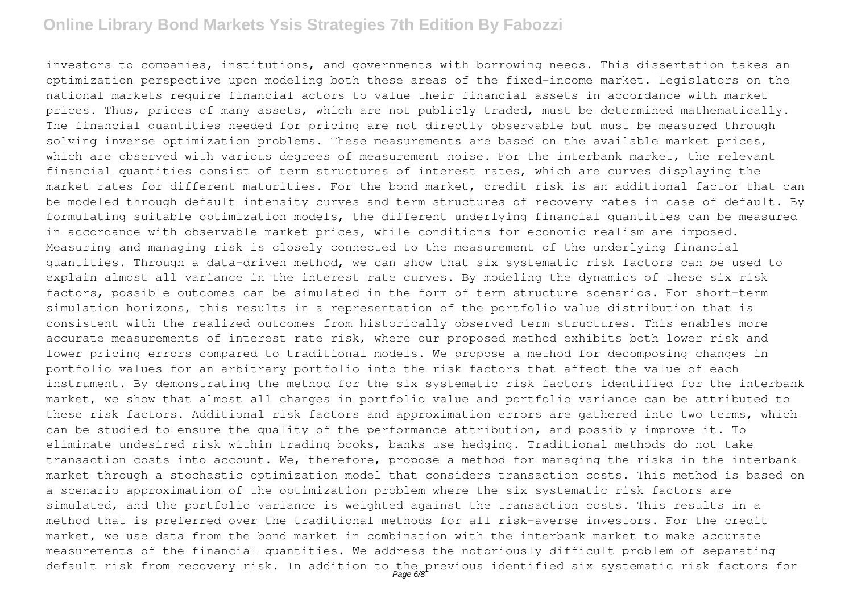investors to companies, institutions, and governments with borrowing needs. This dissertation takes an optimization perspective upon modeling both these areas of the fixed-income market. Legislators on the national markets require financial actors to value their financial assets in accordance with market prices. Thus, prices of many assets, which are not publicly traded, must be determined mathematically. The financial quantities needed for pricing are not directly observable but must be measured through solving inverse optimization problems. These measurements are based on the available market prices, which are observed with various degrees of measurement noise. For the interbank market, the relevant financial quantities consist of term structures of interest rates, which are curves displaying the market rates for different maturities. For the bond market, credit risk is an additional factor that can be modeled through default intensity curves and term structures of recovery rates in case of default. By formulating suitable optimization models, the different underlying financial quantities can be measured in accordance with observable market prices, while conditions for economic realism are imposed. Measuring and managing risk is closely connected to the measurement of the underlying financial quantities. Through a data-driven method, we can show that six systematic risk factors can be used to explain almost all variance in the interest rate curves. By modeling the dynamics of these six risk factors, possible outcomes can be simulated in the form of term structure scenarios. For short-term simulation horizons, this results in a representation of the portfolio value distribution that is consistent with the realized outcomes from historically observed term structures. This enables more accurate measurements of interest rate risk, where our proposed method exhibits both lower risk and lower pricing errors compared to traditional models. We propose a method for decomposing changes in portfolio values for an arbitrary portfolio into the risk factors that affect the value of each instrument. By demonstrating the method for the six systematic risk factors identified for the interbank market, we show that almost all changes in portfolio value and portfolio variance can be attributed to these risk factors. Additional risk factors and approximation errors are gathered into two terms, which can be studied to ensure the quality of the performance attribution, and possibly improve it. To eliminate undesired risk within trading books, banks use hedging. Traditional methods do not take transaction costs into account. We, therefore, propose a method for managing the risks in the interbank market through a stochastic optimization model that considers transaction costs. This method is based on a scenario approximation of the optimization problem where the six systematic risk factors are simulated, and the portfolio variance is weighted against the transaction costs. This results in a method that is preferred over the traditional methods for all risk-averse investors. For the credit market, we use data from the bond market in combination with the interbank market to make accurate measurements of the financial quantities. We address the notoriously difficult problem of separating default risk from recovery risk. In addition to the previous identified six systematic risk factors for<br>Page 6/8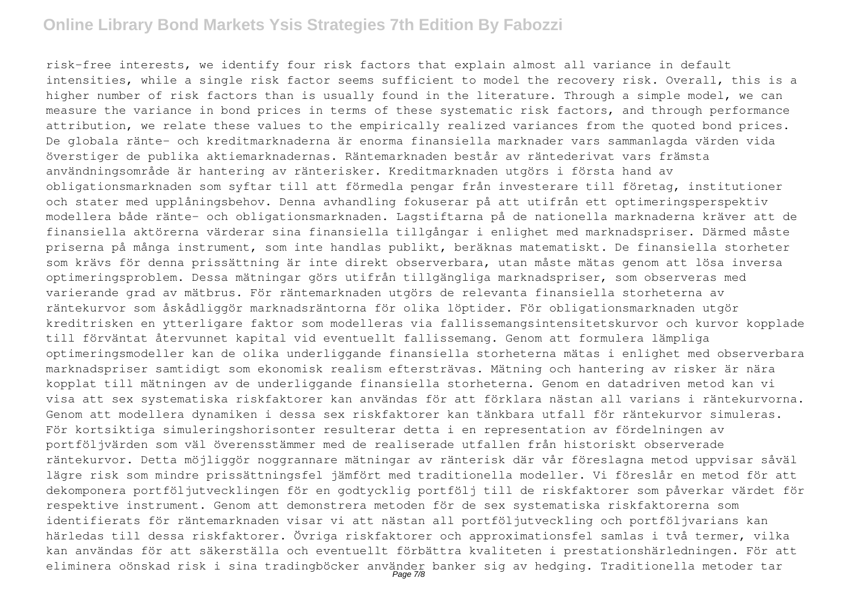risk-free interests, we identify four risk factors that explain almost all variance in default intensities, while a single risk factor seems sufficient to model the recovery risk. Overall, this is a higher number of risk factors than is usually found in the literature. Through a simple model, we can measure the variance in bond prices in terms of these systematic risk factors, and through performance attribution, we relate these values to the empirically realized variances from the quoted bond prices. De globala ränte- och kreditmarknaderna är enorma finansiella marknader vars sammanlagda värden vida överstiger de publika aktiemarknadernas. Räntemarknaden består av räntederivat vars främsta användningsområde är hantering av ränterisker. Kreditmarknaden utgörs i första hand av obligationsmarknaden som syftar till att förmedla pengar från investerare till företag, institutioner och stater med upplåningsbehov. Denna avhandling fokuserar på att utifrån ett optimeringsperspektiv modellera både ränte- och obligationsmarknaden. Lagstiftarna på de nationella marknaderna kräver att de finansiella aktörerna värderar sina finansiella tillgångar i enlighet med marknadspriser. Därmed måste priserna på många instrument, som inte handlas publikt, beräknas matematiskt. De finansiella storheter som krävs för denna prissättning är inte direkt observerbara, utan måste mätas genom att lösa inversa optimeringsproblem. Dessa mätningar görs utifrån tillgängliga marknadspriser, som observeras med varierande grad av mätbrus. För räntemarknaden utgörs de relevanta finansiella storheterna av räntekurvor som åskådliggör marknadsräntorna för olika löptider. För obligationsmarknaden utgör kreditrisken en ytterligare faktor som modelleras via fallissemangsintensitetskurvor och kurvor kopplade till förväntat återvunnet kapital vid eventuellt fallissemang. Genom att formulera lämpliga optimeringsmodeller kan de olika underliggande finansiella storheterna mätas i enlighet med observerbara marknadspriser samtidigt som ekonomisk realism eftersträvas. Mätning och hantering av risker är nära kopplat till mätningen av de underliggande finansiella storheterna. Genom en datadriven metod kan vi visa att sex systematiska riskfaktorer kan användas för att förklara nästan all varians i räntekurvorna. Genom att modellera dynamiken i dessa sex riskfaktorer kan tänkbara utfall för räntekurvor simuleras. För kortsiktiga simuleringshorisonter resulterar detta i en representation av fördelningen av portföljvärden som väl överensstämmer med de realiserade utfallen från historiskt observerade räntekurvor. Detta möjliggör noggrannare mätningar av ränterisk där vår föreslagna metod uppvisar såväl lägre risk som mindre prissättningsfel jämfört med traditionella modeller. Vi föreslår en metod för att dekomponera portföljutvecklingen för en godtycklig portfölj till de riskfaktorer som påverkar värdet för respektive instrument. Genom att demonstrera metoden för de sex systematiska riskfaktorerna som identifierats för räntemarknaden visar vi att nästan all portföljutveckling och portföljvarians kan härledas till dessa riskfaktorer. Övriga riskfaktorer och approximationsfel samlas i två termer, vilka kan användas för att säkerställa och eventuellt förbättra kvaliteten i prestationshärledningen. För att eliminera oönskad risk i sina tradingböcker använder banker sig av hedging. Traditionella metoder tar<br>Page 7/8